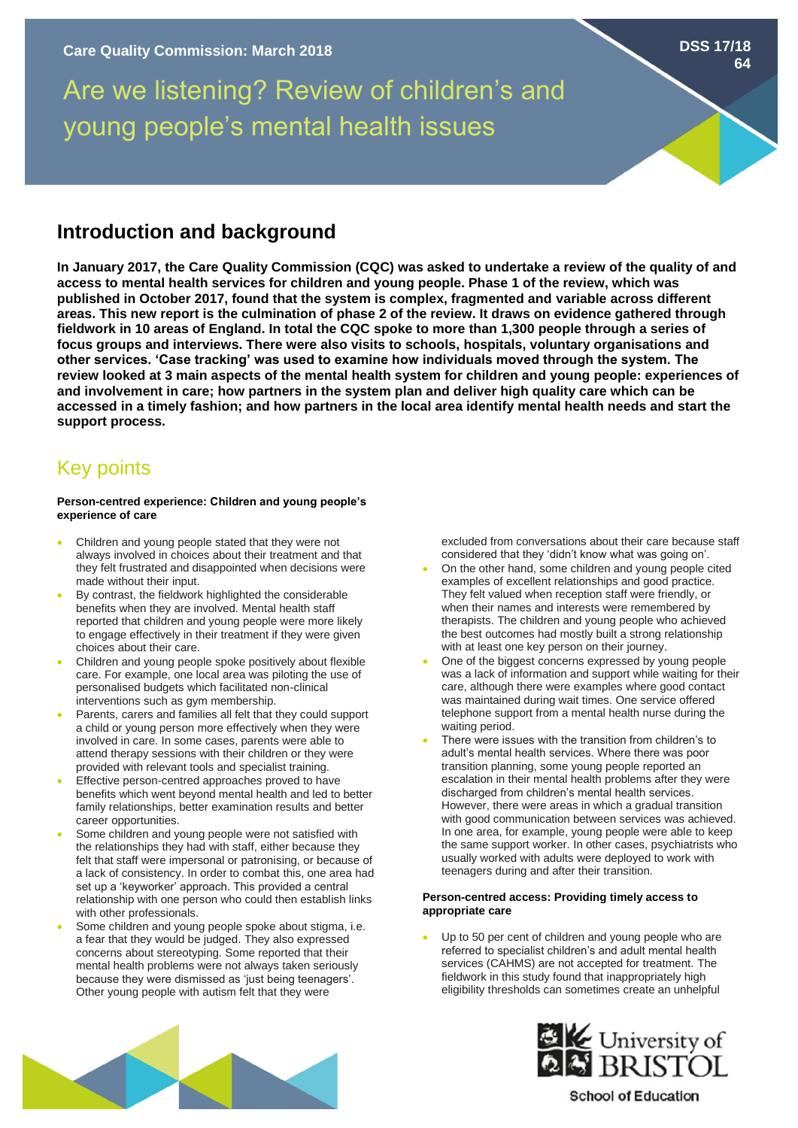# Are we listening? Review of children's and young people's mental health issues

### **Introduction and background**

**In January 2017, the Care Quality Commission (CQC) was asked to undertake a review of the quality of and access to mental health services for children and young people. Phase 1 of the review, which was published in October 2017, found that the system is complex, fragmented and variable across different areas. This new report is the culmination of phase 2 of the review. It draws on evidence gathered through fieldwork in 10 areas of England. In total the CQC spoke to more than 1,300 people through a series of focus groups and interviews. There were also visits to schools, hospitals, voluntary organisations and other services. 'Case tracking' was used to examine how individuals moved through the system. The review looked at 3 main aspects of the mental health system for children and young people: experiences of and involvement in care; how partners in the system plan and deliver high quality care which can be accessed in a timely fashion; and how partners in the local area identify mental health needs and start the support process.** 

## Key points

#### **Person-centred experience: Children and young people's experience of care**

- Children and young people stated that they were not always involved in choices about their treatment and that they felt frustrated and disappointed when decisions were made without their input.
- By contrast, the fieldwork highlighted the considerable benefits when they are involved. Mental health staff reported that children and young people were more likely to engage effectively in their treatment if they were given choices about their care.
- Children and young people spoke positively about flexible care. For example, one local area was piloting the use of personalised budgets which facilitated non-clinical interventions such as gym membership.
- Parents, carers and families all felt that they could support a child or young person more effectively when they were involved in care. In some cases, parents were able to attend therapy sessions with their children or they were provided with relevant tools and specialist training.
- Effective person-centred approaches proved to have benefits which went beyond mental health and led to better family relationships, better examination results and better career opportunities.
- Some children and young people were not satisfied with the relationships they had with staff, either because they felt that staff were impersonal or patronising, or because of a lack of consistency. In order to combat this, one area had set up a 'keyworker' approach. This provided a central relationship with one person who could then establish links with other professionals.
- Some children and young people spoke about stigma, i.e. a fear that they would be judged. They also expressed concerns about stereotyping. Some reported that their mental health problems were not always taken seriously because they were dismissed as 'just being teenagers'. Other young people with autism felt that they were

excluded from conversations about their care because staff considered that they 'didn't know what was going on'.

- On the other hand, some children and young people cited examples of excellent relationships and good practice. They felt valued when reception staff were friendly, or when their names and interests were remembered by therapists. The children and young people who achieved the best outcomes had mostly built a strong relationship with at least one key person on their journey.
- One of the biggest concerns expressed by young people was a lack of information and support while waiting for their care, although there were examples where good contact was maintained during wait times. One service offered telephone support from a mental health nurse during the waiting period.
- There were issues with the transition from children's to adult's mental health services. Where there was poor transition planning, some young people reported an escalation in their mental health problems after they were discharged from children's mental health services. However, there were areas in which a gradual transition with good communication between services was achieved. In one area, for example, young people were able to keep the same support worker. In other cases, psychiatrists who usually worked with adults were deployed to work with teenagers during and after their transition.

#### **Person-centred access: Providing timely access to appropriate care**

Up to 50 per cent of children and young people who are referred to specialist children's and adult mental health services (CAHMS) are not accepted for treatment. The fieldwork in this study found that inappropriately high eligibility thresholds can sometimes create an unhelpful





**School of Education** 

**DSS 17/18**

**64**